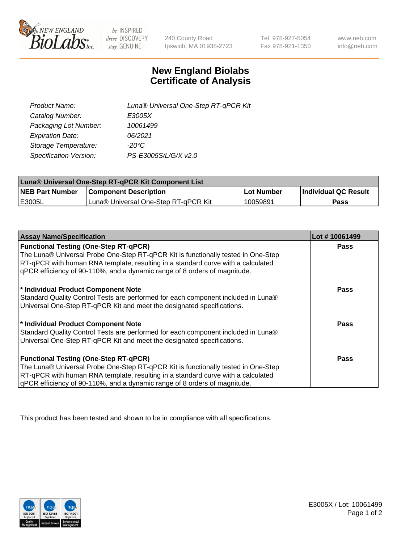

 $be$  INSPIRED drive DISCOVERY stay GENUINE

240 County Road Ipswich, MA 01938-2723 Tel 978-927-5054 Fax 978-921-1350 www.neb.com info@neb.com

## **New England Biolabs Certificate of Analysis**

| Product Name:           | Luna® Universal One-Step RT-qPCR Kit |
|-------------------------|--------------------------------------|
| Catalog Number:         | E3005X                               |
| Packaging Lot Number:   | 10061499                             |
| <b>Expiration Date:</b> | 06/2021                              |
| Storage Temperature:    | $-20^{\circ}$ C                      |
| Specification Version:  | PS-E3005S/L/G/X v2.0                 |

| Luna® Universal One-Step RT-qPCR Kit Component List |                                      |              |                      |  |
|-----------------------------------------------------|--------------------------------------|--------------|----------------------|--|
| <b>NEB Part Number</b>                              | <b>Component Description</b>         | l Lot Number | Individual QC Result |  |
| <b>IE3005L</b>                                      | Luna® Universal One-Step RT-qPCR Kit | 10059891     | Pass                 |  |

| <b>Assay Name/Specification</b>                                                   | Lot #10061499 |
|-----------------------------------------------------------------------------------|---------------|
| <b>Functional Testing (One-Step RT-qPCR)</b>                                      | <b>Pass</b>   |
| The Luna® Universal Probe One-Step RT-qPCR Kit is functionally tested in One-Step |               |
| RT-qPCR with human RNA template, resulting in a standard curve with a calculated  |               |
| gPCR efficiency of 90-110%, and a dynamic range of 8 orders of magnitude.         |               |
|                                                                                   |               |
| * Individual Product Component Note                                               | <b>Pass</b>   |
| Standard Quality Control Tests are performed for each component included in Luna® |               |
| Universal One-Step RT-qPCR Kit and meet the designated specifications.            |               |
|                                                                                   | Pass          |
| * Individual Product Component Note                                               |               |
| Standard Quality Control Tests are performed for each component included in Luna® |               |
| Universal One-Step RT-qPCR Kit and meet the designated specifications.            |               |
| <b>Functional Testing (One-Step RT-qPCR)</b>                                      | Pass          |
| The Luna® Universal Probe One-Step RT-qPCR Kit is functionally tested in One-Step |               |
| RT-qPCR with human RNA template, resulting in a standard curve with a calculated  |               |
| gPCR efficiency of 90-110%, and a dynamic range of 8 orders of magnitude.         |               |

This product has been tested and shown to be in compliance with all specifications.